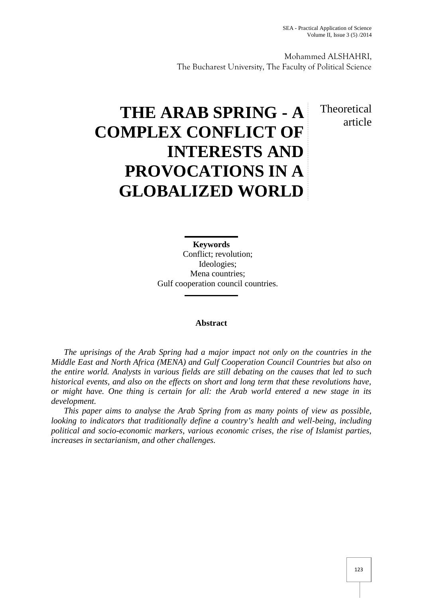Mohammed ALSHAHRI, The Bucharest University, The Faculty of Political Science

> **Theoretical** article

# **THE ARAB SPRING - A COMPLEX CONFLICT OF INTERESTS AND PROVOCATIONS IN A GLOBALIZED WORLD**

**Keywords** Conflict; revolution; Ideologies; Mena countries; Gulf cooperation council countries.

# **Abstract**

*The uprisings of the Arab Spring had a major impact not only on the countries in the Middle East and North Africa (MENA) and Gulf Cooperation Council Countries but also on the entire world. Analysts in various fields are still debating on the causes that led to such historical events, and also on the effects on short and long term that these revolutions have, or might have. One thing is certain for all: the Arab world entered a new stage in its development.*

*This paper aims to analyse the Arab Spring from as many points of view as possible, looking to indicators that traditionally define a country's health and well-being, including political and socio-economic markers, various economic crises, the rise of Islamist parties, increases in sectarianism, and other challenges.*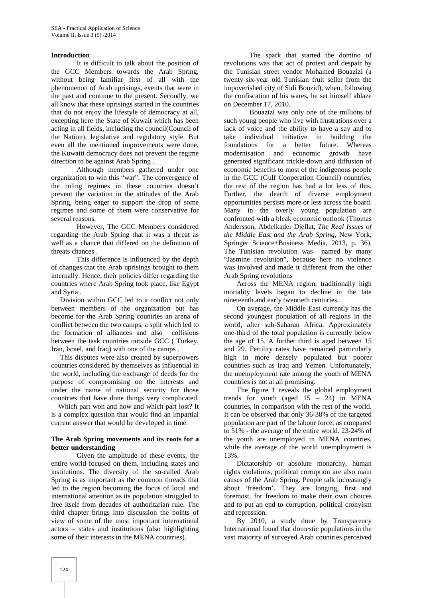## **Introduction**

It is difficult to talk about the position of the GCC Members towards the Arab Spring, without being familiar first of all with the phenomenon of Arab uprisings, events that were in the past and continue to the present. Secondly, we all know that these uprisings started in the countries that do not enjoy the lifestyle of democracy at all, excepting here the State of Kuwait which has been acting in all fields, including the council(Council of the Nation), legislative and regulatory style. But even all the mentioned improvements were done, the Kuwaiti democracy does not prevent the regime direction to be against Arab Spring .

Although members gathered under one organization to win this "war". The convergence of the ruling regimes in these countries doesn't prevent the variation in the attitudes of the Arab Spring, being eager to support the drop of some regimes and some of them were conservative for several reasons.

However, The GCC Members considered regarding the Arab Spring that it was a threat as well as a chance that differed on the definition of threats chances .

This difference is influenced by the depth of changes that the Arab uprisings brought to them internally. Hence, their policies differ regarding the countries where Arab Spring took place, like Egypt and Syria .

Division within GCC led to a conflict not only between members of the organization but has become for the Arab Spring countries an arena of conflict between the two camps, a split which led to the formation of alliances and also collisions between the task countries outside GCC ( Turkey, Iran, Israel, and Iraq) with one of the camps .

This disputes were also created by superpowers countries considered by themselves as influential in the world, including the exchange of deeds for the purpose of compromising on the interests and under the name of national security for those countries that have done things very complicated.

Which part won and how and which part lost? It is a complex question that would find an impartial current answer that would be developed in time.

## **The Arab Spring movements and its roots for a better understanding**

Given the amplitude of these events, the entire world focused on them, including states and institutions. The diversity of the so-called Arab Spring is as important as the common threads that led to the region becoming the focus of local and international attention as its population struggled to free itself from decades of authoritarian rule. The third chapter brings into discussion the points of view of some of the most important international actors – states and institutions (also highlighting some of their interests in the MENA countries).

The spark that started the domino of revolutions was that act of protest and despair by the Tunisian street vendor Mohamed Bouazizi (a twenty-six-year old Tunisian fruit seller from the impoverished city of Sidi Bouzid), when, following the confiscation of his wares, he set himself ablaze on December 17, 2010.

Bouazizi was only one of the millions of such young people who live with frustrations over a lack of voice and the ability to have a say and to take individual initiative in building the foundations for a better future. Whereas modernisation and economic growth have generated significant trickle-down and diffusion of economic benefits to most of the indigenous people in the GCC (Gulf Cooperation Council) countries, the rest of the region has had a lot less of this. Further, the dearth of diverse employment opportunities persists more or less across the board. Many in the overly young population are confronted with a bleak economic outlook (Thomas Andersson, Abdelkader Djeflat, *The Real Issues of the Middle East and the Arab Spring*, New York, Springer Science+Business Media, 2013, p. 36). The Tunisian revolution was named by many "Jasmine revolution", because here no violence was involved and made it different from the other Arab Spring revolutions

Across the MENA region, traditionally high mortality levels began to decline in the late nineteenth and early twentieth centuries.

On average, the Middle East currently has the second youngest population of all regions in the world, after sub-Saharan Africa. Approximately one-third of the total population is currently below the age of 15. A further third is aged between 15 and 29. Fertility rates have remained particularly high in more densely populated but poorer countries such as Iraq and Yemen. Unfortunately, the unemployment rate among the youth of MENA countries is not at all promising.

The figure 1 reveals the global employment trends for youth (aged 15 – 24) in MENA countries, in comparison with the rest of the world. It can be observed that only 36-38% of the targeted population are part of the labour force, as compared to 51% - the average of the entire world. 23-24% of the youth are unemployed in MENA countries, while the average of the world unemployment is 13%.

Dictatorship or absolute monarchy, human rights violations, political corruption are also main causes of the Arab Spring. People talk increasingly about 'freedom'. They are longing, first and foremost, for freedom to make their own choices and to put an end to corruption, political cronyism and repression.

By 2010, a study done by Transparency International found that domestic populations in the vast majority of surveyed Arab countries perceived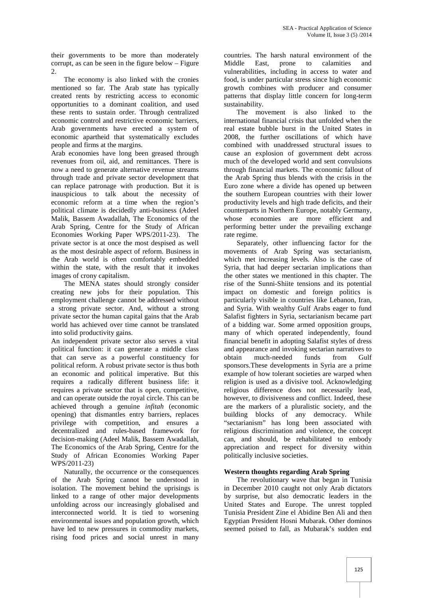their governments to be more than moderately corrupt, as can be seen in the figure below – Figure  $2.$ 

The economy is also linked with the cronies mentioned so far. The Arab state has typically created rents by restricting access to economic opportunities to a dominant coalition, and used these rents to sustain order. Through centralized economic control and restrictive economic barriers, Arab governments have erected a system of economic apartheid that systematically excludes people and firms at the margins.

Arab economies have long been greased through revenues from oil, aid, and remittances. There is now a need to generate alternative revenue streams through trade and private sector development that can replace patronage with production. But it is inauspicious to talk about the necessity of economic reform at a time when the region's political climate is decidedly anti-business (Adeel Malik, Bassem Awadallah, The Economics of the Arab Spring, Centre for the Study of African Economies Working Paper WPS/2011-23). The private sector is at once the most despised as well as the most desirable aspect of reform. Business in the Arab world is often comfortably embedded within the state, with the result that it invokes images of crony capitalism.

The MENA states should strongly consider creating new jobs for their population. This employment challenge cannot be addressed without a strong private sector. And, without a strong private sector the human capital gains that the Arab world has achieved over time cannot be translated into solid productivity gains.

An independent private sector also serves a vital political function: it can generate a middle class that can serve as a powerful constituency for political reform. A robust private sector is thus both an economic and political imperative. But this requires a radically different business life: it requires a private sector that is open, competitive, and can operate outside the royal circle. This can be achieved through a genuine *infitah* (economic opening) that dismantles entry barriers, replaces privilege with competition, and ensures a decentralized and rules-based framework for decision-making (Adeel Malik, Bassem Awadallah, The Economics of the Arab Spring, Centre for the Study of African Economies Working Paper WPS/2011-23)

Naturally, the occurrence or the consequences of the Arab Spring cannot be understood in isolation. The movement behind the uprisings is linked to a range of other major developments unfolding across our increasingly globalised and interconnected world. It is tied to worsening environmental issues and population growth, which have led to new pressures in commodity markets, rising food prices and social unrest in many

countries. The harsh natural environment of the Middle East, prone to calamities and vulnerabilities, including in access to water and food, is under particular stress since high economic growth combines with producer and consumer patterns that display little concern for long-term sustainability.

The movement is also linked to the international financial crisis that unfolded when the real estate bubble burst in the United States in 2008, the further oscillations of which have combined with unaddressed structural issues to cause an explosion of government debt across much of the developed world and sent convulsions through financial markets. The economic fallout of the Arab Spring thus blends with the crisis in the Euro zone where a divide has opened up between the southern European countries with their lower productivity levels and high trade deficits, and their counterparts in Northern Europe, notably Germany, whose economies are more efficient and performing better under the prevailing exchange rate regime.

Separately, other influencing factor for the movements of Arab Spring was sectarianism, which met increasing levels. Also is the case of Syria, that had deeper sectarian implications than the other states we mentioned in this chapter. The rise of the Sunni-Shiite tensions and its potential impact on domestic and foreign politics is particularly visible in countries like Lebanon, Iran, and Syria. With wealthy Gulf Arabs eager to fund Salafist fighters in Syria, sectarianism became part of a bidding war. Some armed opposition groups, many of which operated independently, found financial benefit in adopting Salafist styles of dress and appearance and invoking sectarian narratives to obtain much-needed funds from Gulf sponsors.These developments in Syria are a prime example of how tolerant societies are warped when religion is used as a divisive tool. Acknowledging religious difference does not necessarily lead, however, to divisiveness and conflict. Indeed, these are the markers of a pluralistic society, and the building blocks of any democracy. While "sectarianism" has long been associated with religious discrimination and violence, the concept can, and should, be rehabilitated to embody appreciation and respect for diversity within politically inclusive societies.

## **Western thoughts regarding Arab Spring**

The revolutionary wave that began in Tunisia in December 2010 caught not only Arab dictators by surprise, but also democratic leaders in the United States and Europe. The unrest toppled Tunisia President Zine el Abidine Ben Ali and then Egyptian President Hosni Mubarak. Other dominos seemed poised to fall, as Mubarak's sudden end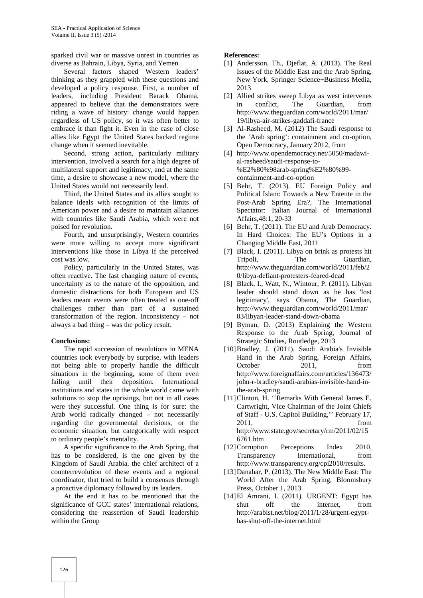sparked civil war or massive unrest in countries as diverse as Bahrain, Libya, Syria, and Yemen.

Several factors shaped Western leaders' thinking as they grappled with these questions and developed a policy response. First, a number of leaders, including President Barack Obama, appeared to believe that the demonstrators were riding a wave of history: change would happen regardless of US policy, so it was often better to embrace it than fight it. Even in the case of close allies like Egypt the United States backed regime change when it seemed inevitable.

Second, strong action, particularly military intervention, involved a search for a high degree of multilateral support and legitimacy, and at the same time, a desire to showcase a new model, where the United States would not necessarily lead.

Third, the United States and its allies sought to balance ideals with recognition of the limits of American power and a desire to maintain alliances with countries like Saudi Arabia, which were not poised for revolution.

Fourth, and unsurprisingly, Western countries were more willing to accept more significant interventions like those in Libya if the perceived cost was low.

Policy, particularly in the United States, was often reactive. The fast changing nature of events, uncertainty as to the nature of the opposition, and domestic distractions for both European and US leaders meant events were often treated as one-off challenges rather than part of a sustained transformation of the region. Inconsistency – not always a bad thing – was the policy result.

#### **Conclusions:**

The rapid succession of revolutions in MENA countries took everybody by surprise, with leaders not being able to properly handle the difficult situations in the beginning, some of them even failing until their deposition. International institutions and states in the whole world came with solutions to stop the uprisings, but not in all cases were they successful. One thing is for sure: the Arab world radically changed – not necessarily regarding the governmental decisions, or the economic situation, but categorically with respect to ordinary people's mentality.

A specific significance to the Arab Spring, that has to be considered, is the one given by the Kingdom of Saudi Arabia, the chief architect of a counterrevolution of these events and a regional coordinator, that tried to build a consensus through a proactive diplomacy followed by its leaders.

At the end it has to be mentioned that the significance of GCC states' international relations, considering the reassertion of Saudi leadership within the Group

#### **References:**

- [1] Andersson, Th., Djeflat, A. (2013). The Real Issues of the Middle East and the Arab Spring, New York, Springer Science+Business Media, 2013
- [2] Allied strikes sweep Libya as west intervenes in conflict, The Guardian, from http://www.theguardian.com/world/2011/mar/ 19/libya-air-strikes-gaddafi-france
- [3] Al-Rasheed, M. (2012) The Saudi response to the 'Arab spring': containment and co-option, Open Democracy, January 2012, from
- [4] http://www.opendemocracy.net/5050/madawi al-rasheed/saudi-response-to- %E2%80%98arab-spring%E2%80%99 containment-and-co-option
- [5] Behr, T. (2013). EU Foreign Policy and Political Islam: Towards a New Entente in the Post-Arab Spring Era?, The International Spectator: Italian Journal of International Affairs,48:1, 20-33
- [6] Behr, T. (2011). The EU and Arab Democracy. In Hard Choices: The EU's Options in a Changing Middle East, 2011
- [7] Black, I. (2011). Libya on brink as protests hit Tripoli, The Guardian, http://www.theguardian.com/world/2011/feb/2 0/libya-defiant-protesters-feared-dead
- [8] Black, I., Watt, N., Wintour, P. (2011). Libyan leader should stand down as he has 'lost legitimacy', says Obama, The Guardian, http://www.theguardian.com/world/2011/mar/ 03/libyan-leader-stand-down-obama
- [9] Byman, D. (2013) Explaining the Western Response to the Arab Spring, Journal of Strategic Studies, Routledge, 2013
- [10]Bradley, J. (2011). Saudi Arabia's Invisible Hand in the Arab Spring, Foreign Affairs, October 2011, from http://www.foreignaffairs.com/articles/136473/ john-r-bradley/saudi-arabias-invisible-hand-inthe-arab-spring
- [11]Clinton, H. "Remarks With General James E. Cartwright, Vice Chairman of the Joint Chiefs of Staff - U.S. Capitol Building,'' February 17, 2011, from http://www.state.gov/secretary/rm/2011/02/15 6761.htm
- [12]Corruption Perceptions Index 2010, Transparency International, from http://www.transparency.org/cpi2010/results.
- [13]Danahar, P. (2013). The New Middle East: The World After the Arab Spring, Bloomsbury Press, October 1, 2013
- [14]El Amrani, I. (2011). URGENT: Egypt has shut off the internet, from http://arabist.net/blog/2011/1/28/urgent-egypt has-shut-off-the-internet.html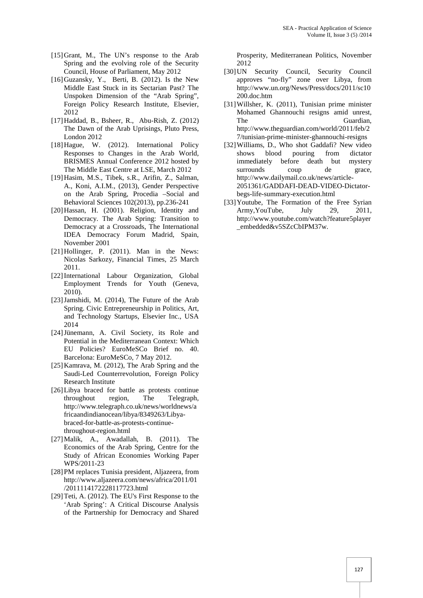- [15]Grant, M., The UN's response to the Arab Spring and the evolving role of the Security Council, House of Parliament, May 2012
- [16]Guzansky, Y., Berti, B. (2012). Is the New Middle East Stuck in its Sectarian Past? The Unspoken Dimension of the "Arab Spring", Foreign Policy Research Institute, Elsevier, 2012
- [17]Haddad, B., Bsheer, R., Abu-Rish, Z. (2012) The Dawn of the Arab Uprisings, Pluto Press, London 2012
- [18] Hague, W. (2012). International Policy Responses to Changes in the Arab World, BRISMES Annual Conference 2012 hosted by The Middle East Centre at LSE, March 2012
- [19]Hasim, M.S., Tibek, s.R., Arifin, Z., Salman, A., Koni, A.I.M., (2013), Gender Perspective on the Arab Spring, Procedia –Social and Behavioral Sciences 102(2013), pp.236-241
- [20]Hassan, H. (2001). Religion, Identity and Democracy. The Arab Spring: Transition to Democracy at a Crossroads, The International IDEA Democracy Forum Madrid, Spain, November 2001
- [21] Hollinger, P. (2011). Man in the News: Nicolas Sarkozy, Financial Times, 25 March 2011.
- [22]International Labour Organization, Global Employment Trends for Youth (Geneva, 2010).
- [23]Jamshidi, M. (2014), The Future of the Arab Spring. Civic Entrepreneurship in Politics, Art, and Technology Startups, Elsevier Inc., USA 2014
- [24]Jünemann, A. Civil Society, its Role and Potential in the Mediterranean Context: Which EU Policies? EuroMeSCo Brief no. 40. Barcelona: EuroMeSCo, 7 May 2012.
- [25]Kamrava, M. (2012), The Arab Spring and the Saudi-Led Counterrevolution, Foreign Policy Research Institute
- [26]Libya braced for battle as protests continue throughout region, The Telegraph, http://www.telegraph.co.uk/news/worldnews/a fricaandindianocean/libya/8349263/Libya braced-for-battle-as-protests-continuethroughout-region.html
- [27]Malik, A., Awadallah, B. (2011). The Economics of the Arab Spring, Centre for the Study of African Economies Working Paper WPS/2011-23
- [28]PM replaces Tunisia president, Aljazeera, from http://www.aljazeera.com/news/africa/2011/01 /2011114172228117723.html
- [29] Teti, A. (2012). The EU's First Response to the 'Arab Spring': A Critical Discourse Analysis of the Partnership for Democracy and Shared

Prosperity, Mediterranean Politics, November 2012

- [30]UN Security Council, Security Council approves "no-fly" zone over Libya, from http://www.un.org/News/Press/docs/2011/sc10 200.doc.htm
- [31]Willsher, K. (2011), Tunisian prime minister Mohamed Ghannouchi resigns amid unrest, The Guardian, http://www.theguardian.com/world/2011/feb/2 7/tunisian-prime-minister-ghannouchi-resigns
- [32]Williams, D., Who shot Gaddafi? New video shows blood pouring from dictator immediately before death but mystery surrounds coup de grace, http://www.dailymail.co.uk/news/article- 2051361/GADDAFI-DEAD-VIDEO-Dictator begs-life-summary-execution.html
- [33]Youtube, The Formation of the Free Syrian Army,YouTube, July 29, 2011, http://www.youtube.com/watch?feature5player \_embedded&v5SZcCbIPM37w.